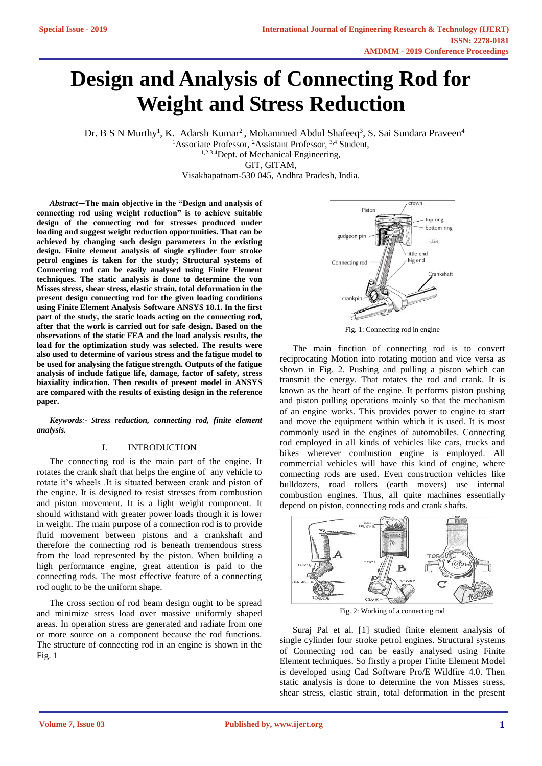# **Design and Analysis of Connecting Rod for Weight and Stress Reduction**

Dr. B S N Murthy<sup>1</sup>, K. Adarsh Kumar<sup>2</sup>, Mohammed Abdul Shafeeq<sup>3</sup>, S. Sai Sundara Praveen<sup>4</sup>

<sup>1</sup>Associate Professor, <sup>2</sup>Assistant Professor, <sup>3,4</sup> Student,

1,2,3,4Dept. of Mechanical Engineering,

GIT, GITAM,

Visakhapatnam-530 045, Andhra Pradesh, India.

*Abstract—***The main objective in the "Design and analysis of connecting rod using weight reduction" is to achieve suitable design of the connecting rod for stresses produced under loading and suggest weight reduction opportunities. That can be achieved by changing such design parameters in the existing design. Finite element analysis of single cylinder four stroke petrol engines is taken for the study; Structural systems of Connecting rod can be easily analysed using Finite Element techniques. The static analysis is done to determine the von Misses stress, shear stress, elastic strain, total deformation in the present design connecting rod for the given loading conditions using Finite Element Analysis Software ANSYS 18.1. In the first part of the study, the static loads acting on the connecting rod, after that the work is carried out for safe design. Based on the observations of the static FEA and the load analysis results, the load for the optimization study was selected. The results were also used to determine of various stress and the fatigue model to be used for analysing the fatigue strength. Outputs of the fatigue analysis of include fatigue life, damage, factor of safety, stress biaxiality indication. Then results of present model in ANSYS are compared with the results of existing design in the reference paper.**

*Keywords:- Stress reduction, connecting rod, finite element analysis.*

## I. INTRODUCTION

The connecting rod is the main part of the engine. It rotates the crank shaft that helps the engine of any vehicle to rotate it's wheels .It is situated between crank and piston of the engine. It is designed to resist stresses from combustion and piston movement. It is a light weight component. It should withstand with greater power loads though it is lower in weight. The main purpose of a connection rod is to provide fluid movement between pistons and a crankshaft and therefore the connecting rod is beneath tremendous stress from the load represented by the piston. When building a high performance engine, great attention is paid to the connecting rods. The most effective feature of a connecting rod ought to be the uniform shape.

The cross section of rod beam design ought to be spread and minimize stress load over massive uniformly shaped areas. In operation stress are generated and radiate from one or more source on a component because the rod functions. The structure of connecting rod in an engine is shown in the Fig. 1



Fig. 1: Connecting rod in engine

The main finction of connecting rod is to convert reciprocating Motion into rotating motion and vice versa as shown in Fig. 2. Pushing and pulling a piston which can transmit the energy. That rotates the rod and crank. It is known as the heart of the engine. It performs piston pushing and piston pulling operations mainly so that the mechanism of an engine works. This provides power to engine to start and move the equipment within which it is used. It is most commonly used in the engines of automobiles. Connecting rod employed in all kinds of vehicles like cars, trucks and bikes wherever combustion engine is employed. All commercial vehicles will have this kind of engine, where connecting rods are used. Even construction vehicles like bulldozers, road rollers (earth movers) use internal combustion engines. Thus, all quite machines essentially depend on piston, connecting rods and crank shafts.



Fig. 2: Working of a connecting rod

Suraj Pal et al. [1] studied finite element analysis of single cylinder four stroke petrol engines. Structural systems of Connecting rod can be easily analysed using Finite Element techniques. So firstly a proper Finite Element Model is developed using Cad Software Pro/E Wildfire 4.0. Then static analysis is done to determine the von Misses stress, shear stress, elastic strain, total deformation in the present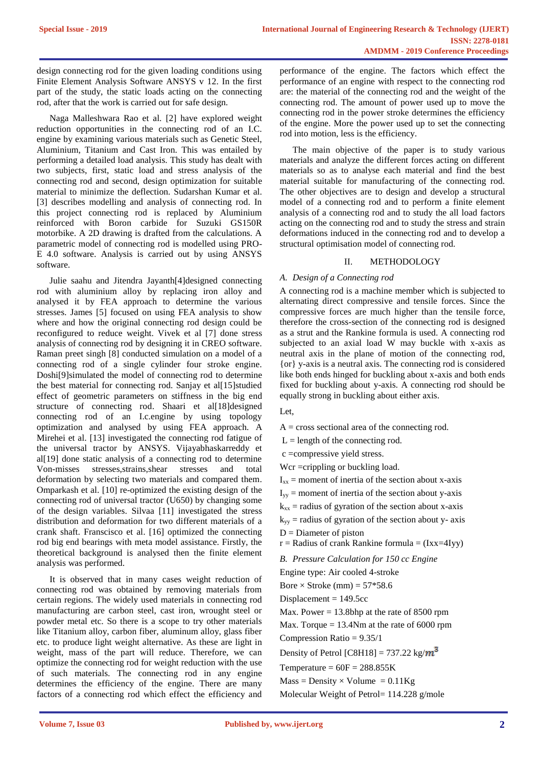design connecting rod for the given loading conditions using Finite Element Analysis Software ANSYS v 12. In the first part of the study, the static loads acting on the connecting rod, after that the work is carried out for safe design.

Naga Malleshwara Rao et al. [2] have explored weight reduction opportunities in the connecting rod of an I.C. engine by examining various materials such as Genetic Steel, Aluminium, Titanium and Cast Iron. This was entailed by performing a detailed load analysis. This study has dealt with two subjects, first, static load and stress analysis of the connecting rod and second, design optimization for suitable material to minimize the deflection. Sudarshan Kumar et al. [3] describes modelling and analysis of connecting rod. In this project connecting rod is replaced by Aluminium reinforced with Boron carbide for Suzuki GS150R motorbike. A 2D drawing is drafted from the calculations. A parametric model of connecting rod is modelled using PRO-E 4.0 software. Analysis is carried out by using ANSYS software.

Julie saahu and Jitendra Jayanth[4]designed connecting rod with aluminium alloy by replacing iron alloy and analysed it by FEA approach to determine the various stresses. James [5] focused on using FEA analysis to show where and how the original connecting rod design could be reconfigured to reduce weight. Vivek et al [7] done stress analysis of connecting rod by designing it in CREO software. Raman preet singh [8] conducted simulation on a model of a connecting rod of a single cylinder four stroke engine. Doshi[9]simulated the model of connecting rod to determine the best material for connecting rod. Sanjay et al[15]studied effect of geometric parameters on stiffness in the big end structure of connecting rod. Shaari et al[18]designed connecting rod of an I.c.engine by using topology optimization and analysed by using FEA approach. A Mirehei et al. [13] investigated the connecting rod fatigue of the universal tractor by ANSYS. Vijayabhaskarreddy et al[19] done static analysis of a connecting rod to determine Von-misses stresses,strains,shear stresses and total deformation by selecting two materials and compared them. Omparkash et al. [10] re-optimized the existing design of the connecting rod of universal tractor (U650) by changing some of the design variables. Silvaa [11] investigated the stress distribution and deformation for two different materials of a crank shaft. Franscisco et al. [16] optimized the connecting rod big end bearings with meta model assistance. Firstly, the theoretical background is analysed then the finite element analysis was performed.

It is observed that in many cases weight reduction of connecting rod was obtained by removing materials from certain regions. The widely used materials in connecting rod manufacturing are carbon steel, cast iron, wrought steel or powder metal etc. So there is a scope to try other materials like Titanium alloy, carbon fiber, aluminum alloy, glass fiber etc. to produce light weight alternative. As these are light in weight, mass of the part will reduce. Therefore, we can optimize the connecting rod for weight reduction with the use of such materials. The connecting rod in any engine determines the efficiency of the engine. There are many factors of a connecting rod which effect the efficiency and

performance of the engine. The factors which effect the performance of an engine with respect to the connecting rod are: the material of the connecting rod and the weight of the connecting rod. The amount of power used up to move the connecting rod in the power stroke determines the efficiency of the engine. More the power used up to set the connecting rod into motion, less is the efficiency.

The main objective of the paper is to study various materials and analyze the different forces acting on different materials so as to analyse each material and find the best material suitable for manufacturing of the connecting rod. The other objectives are to design and develop a structural model of a connecting rod and to perform a finite element analysis of a connecting rod and to study the all load factors acting on the connecting rod and to study the stress and strain deformations induced in the connecting rod and to develop a structural optimisation model of connecting rod.

## II. METHODOLOGY

## *A. Design of a Connecting rod*

A connecting rod is a machine member which is subjected to alternating direct compressive and tensile forces. Since the compressive forces are much higher than the tensile force, therefore the cross-section of the connecting rod is designed as a strut and the Rankine formula is used. A connecting rod subjected to an axial load W may buckle with x-axis as neutral axis in the plane of motion of the connecting rod, {or} y-axis is a neutral axis. The connecting rod is considered like both ends hinged for buckling about x-axis and both ends fixed for buckling about y-axis. A connecting rod should be equally strong in buckling about either axis.

Let,

 $A = \text{cross sectional area of the connecting rod.}$ 

 $L =$  length of the connecting rod.

c =compressive yield stress.

Wcr = crippling or buckling load.

 $I_{xx}$  = moment of inertia of the section about x-axis

 $I_{yy}$  = moment of inertia of the section about y-axis

 $k_{xx}$  = radius of gyration of the section about x-axis

 $k_{yy}$  = radius of gyration of the section about y- axis

 $D =$ Diameter of piston

 $r =$  Radius of crank Rankine formula = (Ixx=4Iyy)

*B. Pressure Calculation for 150 cc Engine*

Engine type: Air cooled 4-stroke

Bore  $\times$  Stroke (mm) = 57\*58.6

Displacement  $= 149.5cc$ 

Max. Power  $= 13.8$ bhp at the rate of 8500 rpm

Max. Torque  $= 13.4$ Nm at the rate of 6000 rpm Compression Ratio = 9.35/1

Density of Petrol [C8H18] = 737.22 kg/ $m^3$ 

Temperature  $= 60F = 288.855K$ 

 $Mass = Density \times Volume = 0.11Kg$ 

Molecular Weight of Petrol= 114.228 g/mole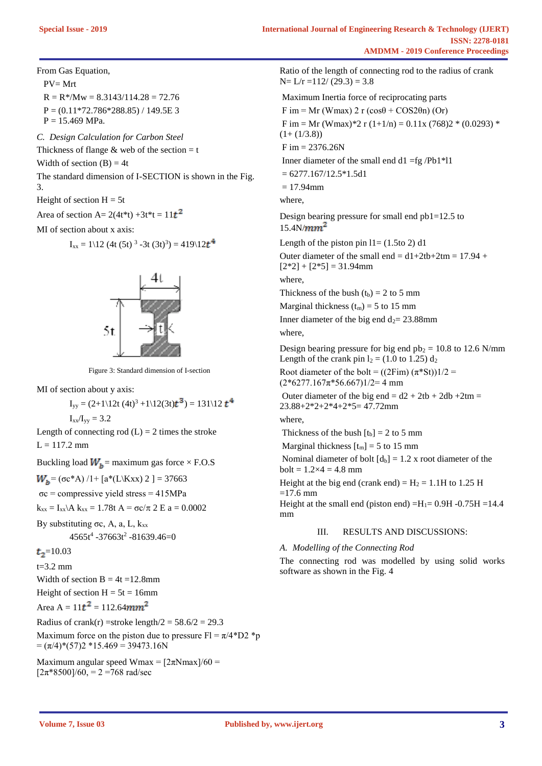From Gas Equation,

 PV= Mrt  $R = R^* / Mw = 8.3143 / 114.28 = 72.76$  $P = (0.11*72.786*288.85) / 149.5E$  3  $P = 15.469$  MPa.

*C. Design Calculation for Carbon Steel*

Thickness of flange  $&$  web of the section = t

Width of section  $(B) = 4t$ 

The standard dimension of I-SECTION is shown in the Fig. 3.

Height of section  $H = 5t$ 

Area of section A=  $2(4t*t) +3t*t = 11t^2$ 

MI of section about x axis:

$$
I_{xx} = 1\{12 \ (4t \ (5t)^3 - 3t \ (3t)^3) = 419\}12t^4
$$



Figure 3: Standard dimension of I-section

MI of section about y axis:

$$
I_{yy} = (2+1\backslash 12t (4t)^3 + 1\backslash 12(3t)t^3) = 131\backslash 12 t^4
$$
  

$$
I_{xx}/I_{yy} = 3.2
$$

Length of connecting rod  $(L) = 2$  times the stroke  $L = 117.2$  mm

Buckling load  $W_b$  = maximum gas force  $\times$  F.O.S

 $W_b = (σc*A)/1 + [a*(L\text{Kxx}) 2] = 37663$ 

σc = compressive yield stress = 415MPa

 $k_{xx} = I_{xx} A k_{xx} = 1.78t A = \sigma c/\pi 2 E a = 0.0002$ 

By substituting σc, A, a, L,  $k_{xx}$ 

 $4565t^4$  -37663t<sup>2</sup> -81639.46=0

 $t_{2}$ =10.03

 $t = 3.2$  mm

Width of section  $B = 4t = 12.8$ mm

Height of section  $H = 5t = 16$ mm

Area A =  $11t^2$  = 112.64mm<sup>2</sup>

Radius of crank(r) = stroke length/ $2 = 58.6/2 = 29.3$ Maximum force on the piston due to pressure  $Fl = \pi/4*D2*p$  $= (\pi/4) * (57)2 * 15.469 = 39473.16N$ 

Maximum angular speed Wmax =  $[2\pi N$ max $]/60 =$  $[2\pi*8500]/60$ , = 2 = 768 rad/sec

Ratio of the length of connecting rod to the radius of crank  $N=L/r = 112/(29.3) = 3.8$ Maximum Inertia force of reciprocating parts F im = Mr (Wmax) 2 r ( $\cos\theta$  + COS2 $\theta$ n) (Or) F im = Mr (Wmax)\*2 r (1+1/n) =  $0.11x$  (768)2 \* (0.0293) \*  $(1+(1/3.8))$  $F \text{ im} = 2376.26N$ Inner diameter of the small end  $d1 = fg$ /Pb1\*l1  $= 6277.167/12.5*1.5d1$  $= 17.94$ mm where, Design bearing pressure for small end pb1=12.5 to 15.4N/ $mm<sup>2</sup>$ Length of the piston pin  $11 = (1.5$ to 2) d1 Outer diameter of the small end =  $d1+2tb+2tm = 17.94 +$  $[2*2] + [2*5] = 31.94$ mm where, Thickness of the bush  $(t_b) = 2$  to 5 mm Marginal thickness  $(t_m) = 5$  to 15 mm Inner diameter of the big end  $d_2 = 23.88$ mm where, Design bearing pressure for big end  $pb_2 = 10.8$  to 12.6 N/mm Length of the crank pin  $l_2 = (1.0 \text{ to } 1.25) d_2$ Root diameter of the bolt =  $((2Fim) (\pi^*St))1/2 =$  $(2*6277.167\pi*56.667)1/2=4$  mm Outer diameter of the big end =  $d2 + 2tb + 2db +2tm =$ 23.88+2\*2+2\*4+2\*5= 47.72mm where, Thickness of the bush  $[t_b] = 2$  to 5 mm Marginal thickness  $[t_m] = 5$  to 15 mm Nominal diameter of bolt  $[d_b] = 1.2$  x root diameter of the  $bolt = 1.2 \times 4 = 4.8$  mm Height at the big end (crank end) =  $H_2 = 1.1H$  to 1.25 H  $=17.6$  mm Height at the small end (piston end)  $=$ H<sub>1</sub> $=$  0.9H -0.75H  $=$ 14.4 mm

# III. RESULTS AND DISCUSSIONS:

*A. Modelling of the Connecting Rod*

The connecting rod was modelled by using solid works software as shown in the Fig. 4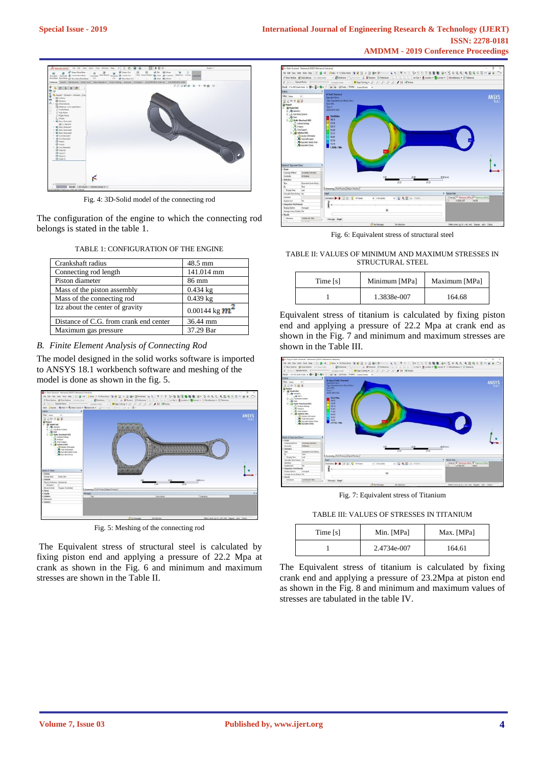

Fig. 4: 3D-Solid model of the connecting rod

The configuration of the engine to which the connecting rod belongs is stated in the table 1.

| Crankshaft radius                      | 48.5 mm            |
|----------------------------------------|--------------------|
| Connecting rod length                  | 141.014 mm         |
| Piston diameter                        | 86 mm              |
| Mass of the piston assembly            | $0.434 \text{ kg}$ |
| Mass of the connecting rod             | $0.439$ kg         |
| Izz about the center of gravity        | 0.00144 kg $m^2$   |
| Distance of C.G. from crank end center | 36.44 mm           |
| Maximum gas pressure                   | 37.29 Bar          |

## *B. Finite Element Analysis of Connecting Rod*

The model designed in the solid works software is imported to ANSYS 18.1 workbench software and meshing of the model is done as shown in the fig. 5.



Fig. 5: Meshing of the connecting rod

The Equivalent stress of structural steel is calculated by fixing piston end and applying a pressure of 22.2 Mpa at crank as shown in the Fig. 6 and minimum and maximum stresses are shown in the Table II.



Fig. 6: Equivalent stress of structural steel

TABLE II: VALUES OF MINIMUM AND MAXIMUM STRESSES IN STRUCTURAL STEEL

| Time [s] | Minimum [MPa] | Maximum [MPa] |
|----------|---------------|---------------|
|          | 1.3838e-007   | 164.68        |

Equivalent stress of titanium is calculated by fixing piston end and applying a pressure of 22.2 Mpa at crank end as shown in the Fig. 7 and minimum and maximum stresses are shown in the Table III.



Fig. 7: Equivalent stress of Titanium

TABLE III: VALUES OF STRESSES IN TITANIUM

| Time [s] | Min. [MPa]  | Max. [MPa] |
|----------|-------------|------------|
|          | 2.4734e-007 | 164.61     |

The Equivalent stress of titanium is calculated by fixing crank end and applying a pressure of 23.2Mpa at piston end as shown in the Fig. 8 and minimum and maximum values of stresses are tabulated in the table IV.